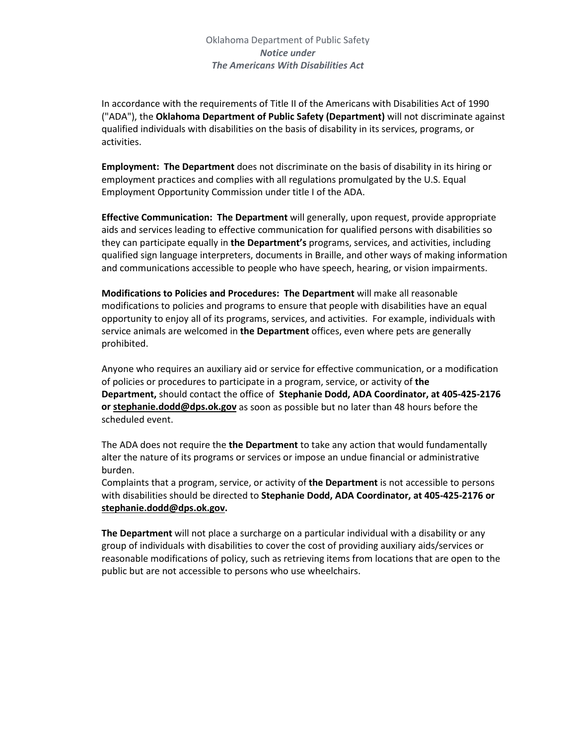In accordance with the requirements of Title II of the Americans with Disabilities Act of 1990 ("ADA"), the **Oklahoma Department of Public Safety (Department)** will not discriminate against qualified individuals with disabilities on the basis of disability in its services, programs, or activities.

**Employment: The Department** does not discriminate on the basis of disability in its hiring or employment practices and complies with all regulations promulgated by the U.S. Equal Employment Opportunity Commission under title I of the ADA.

**Effective Communication: The Department** will generally, upon request, provide appropriate aids and services leading to effective communication for qualified persons with disabilities so they can participate equally in **the Department's** programs, services, and activities, including qualified sign language interpreters, documents in Braille, and other ways of making information and communications accessible to people who have speech, hearing, or vision impairments.

**Modifications to Policies and Procedures: The Department** will make all reasonable modifications to policies and programs to ensure that people with disabilities have an equal opportunity to enjoy all of its programs, services, and activities. For example, individuals with service animals are welcomed in **the Department** offices, even where pets are generally prohibited.

Anyone who requires an auxiliary aid or service for effective communication, or a modification of policies or procedures to participate in a program, service, or activity of **the Department,** should contact the office of **Stephanie Dodd, ADA Coordinator, at 405-425-2176 or [stephanie.dodd@dps.ok.gov](mailto:stephanie.dodd@dps.ok.gov)** as soon as possible but no later than 48 hours before the scheduled event.

The ADA does not require the **the Department** to take any action that would fundamentally alter the nature of its programs or services or impose an undue financial or administrative burden.

Complaints that a program, service, or activity of **the Department** is not accessible to persons with disabilities should be directed to **Stephanie Dodd, ADA Coordinator, at 405-425-2176 or [stephanie.dodd@dps.ok.gov.](mailto:stephanie.dodd@dps.ok.gov)**

**The Department** will not place a surcharge on a particular individual with a disability or any group of individuals with disabilities to cover the cost of providing auxiliary aids/services or reasonable modifications of policy, such as retrieving items from locations that are open to the public but are not accessible to persons who use wheelchairs.